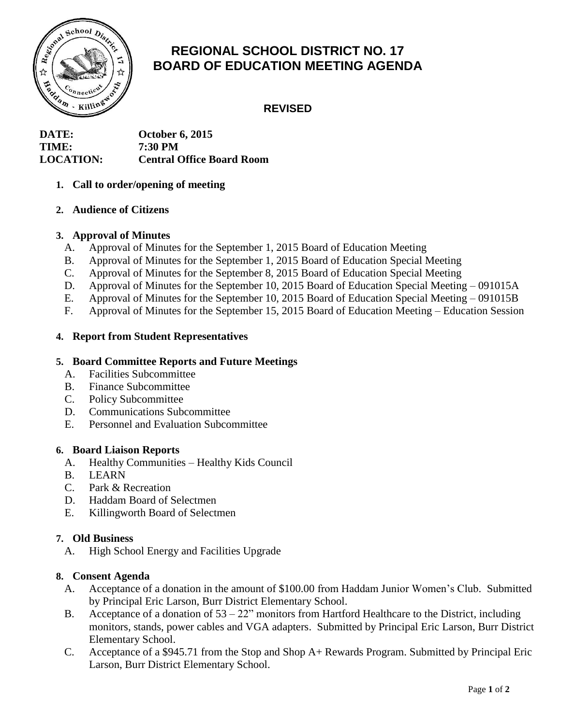

# **REGIONAL SCHOOL DISTRICT NO. 17 BOARD OF EDUCATION MEETING AGENDA**

# **REVISED**

**DATE: October 6, 2015 TIME: 7:30 PM LOCATION: Central Office Board Room**

## **1. Call to order/opening of meeting**

## **2. Audience of Citizens**

## **3. Approval of Minutes**

- A. Approval of Minutes for the September 1, 2015 Board of Education Meeting
- B. Approval of Minutes for the September 1, 2015 Board of Education Special Meeting
- C. Approval of Minutes for the September 8, 2015 Board of Education Special Meeting
- D. Approval of Minutes for the September 10, 2015 Board of Education Special Meeting 091015A
- E. Approval of Minutes for the September 10, 2015 Board of Education Special Meeting 091015B
- F. Approval of Minutes for the September 15, 2015 Board of Education Meeting Education Session

## **4. Report from Student Representatives**

## **5. Board Committee Reports and Future Meetings**

- A. Facilities Subcommittee
- B. Finance Subcommittee
- C. Policy Subcommittee
- D. Communications Subcommittee
- E. Personnel and Evaluation Subcommittee

#### **6. Board Liaison Reports**

- A. Healthy Communities Healthy Kids Council
- B. LEARN
- C. Park & Recreation
- D. Haddam Board of Selectmen
- E. Killingworth Board of Selectmen

#### **7. Old Business**

A. High School Energy and Facilities Upgrade

#### **8. Consent Agenda**

- A. Acceptance of a donation in the amount of \$100.00 from Haddam Junior Women's Club. Submitted by Principal Eric Larson, Burr District Elementary School.
- B. Acceptance of a donation of 53 22" monitors from Hartford Healthcare to the District, including monitors, stands, power cables and VGA adapters. Submitted by Principal Eric Larson, Burr District Elementary School.
- C. Acceptance of a \$945.71 from the Stop and Shop A+ Rewards Program. Submitted by Principal Eric Larson, Burr District Elementary School.